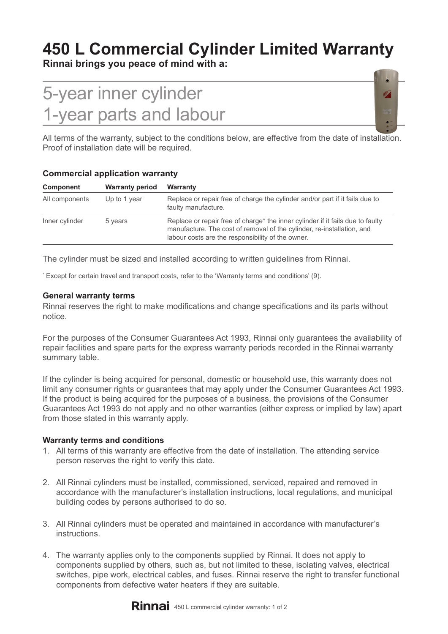# **450 L Commercial Cylinder Limited Warranty**

**Rinnai brings you peace of mind with a:**

# 5-year inner cylinder 1-year parts and labour



All terms of the warranty, subject to the conditions below, are effective from the date of installation. Proof of installation date will be required.

| Component      | <b>Warranty period</b>  | <b>Warranty</b>                                                                                                                                                                                               |  |  |
|----------------|-------------------------|---------------------------------------------------------------------------------------------------------------------------------------------------------------------------------------------------------------|--|--|
| All components | Up to 1 year<br>5 years | Replace or repair free of charge the cylinder and/or part if it fails due to<br>faulty manufacture.                                                                                                           |  |  |
| Inner cylinder |                         | Replace or repair free of charge* the inner cylinder if it fails due to faulty<br>manufacture. The cost of removal of the cylinder, re-installation, and<br>labour costs are the responsibility of the owner. |  |  |

## **Commercial application warranty**

The cylinder must be sized and installed according to written guidelines from Rinnai.

\* Except for certain travel and transport costs, refer to the 'Warranty terms and conditions' (9).

### **General warranty terms**

Rinnai reserves the right to make modifications and change specifications and its parts without notice.

For the purposes of the Consumer Guarantees Act 1993, Rinnai only guarantees the availability of repair facilities and spare parts for the express warranty periods recorded in the Rinnai warranty summary table.

If the cylinder is being acquired for personal, domestic or household use, this warranty does not limit any consumer rights or guarantees that may apply under the Consumer Guarantees Act 1993. If the product is being acquired for the purposes of a business, the provisions of the Consumer Guarantees Act 1993 do not apply and no other warranties (either express or implied by law) apart from those stated in this warranty apply.

#### **Warranty terms and conditions**

- 1. All terms of this warranty are effective from the date of installation. The attending service person reserves the right to verify this date.
- 2. All Rinnai cylinders must be installed, commissioned, serviced, repaired and removed in accordance with the manufacturer's installation instructions, local regulations, and municipal building codes by persons authorised to do so.
- 3. All Rinnai cylinders must be operated and maintained in accordance with manufacturer's instructions.
- 4. The warranty applies only to the components supplied by Rinnai. It does not apply to components supplied by others, such as, but not limited to these, isolating valves, electrical switches, pipe work, electrical cables, and fuses. Rinnai reserve the right to transfer functional components from defective water heaters if they are suitable.